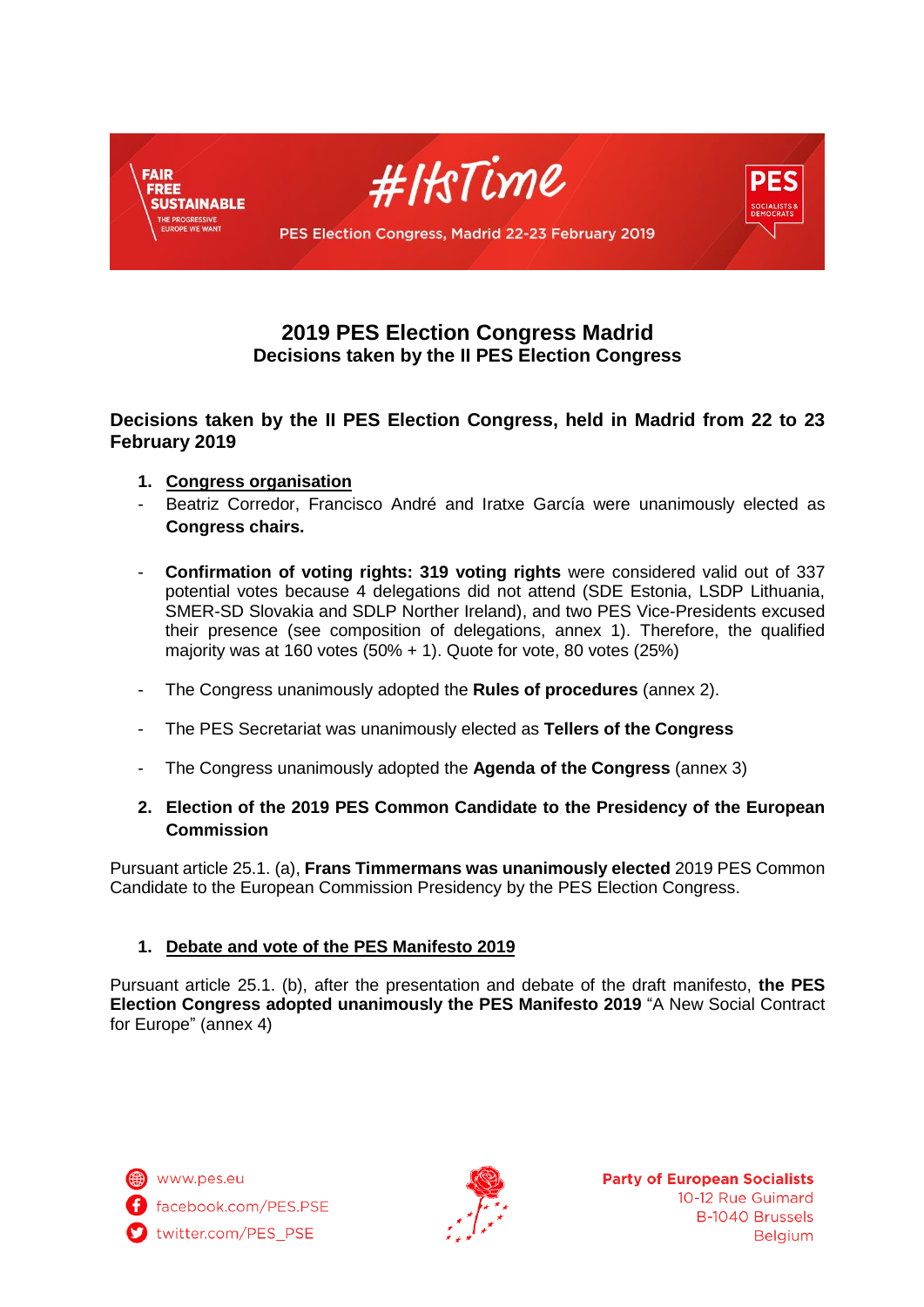

# **2019 PES Election Congress Madrid Decisions taken by the II PES Election Congress**

# **Decisions taken by the II PES Election Congress, held in Madrid from 22 to 23 February 2019**

- **1. Congress organisation**
- Beatriz Corredor, Francisco André and Iratxe García were unanimously elected as **Congress chairs.**
- **Confirmation of voting rights: 319 voting rights** were considered valid out of 337 potential votes because 4 delegations did not attend (SDE Estonia, LSDP Lithuania, SMER-SD Slovakia and SDLP Norther Ireland), and two PES Vice-Presidents excused their presence (see composition of delegations, annex 1). Therefore, the qualified majority was at 160 votes (50% + 1). Quote for vote, 80 votes (25%)
- The Congress unanimously adopted the **Rules of procedures** (annex 2).
- The PES Secretariat was unanimously elected as **Tellers of the Congress**
- The Congress unanimously adopted the **Agenda of the Congress** (annex 3)

# **2. Election of the 2019 PES Common Candidate to the Presidency of the European Commission**

Pursuant article 25.1. (a), **Frans Timmermans was unanimously elected** 2019 PES Common Candidate to the European Commission Presidency by the PES Election Congress.

# **1. Debate and vote of the PES Manifesto 2019**

Pursuant article 25.1. (b), after the presentation and debate of the draft manifesto, **the PES Election Congress adopted unanimously the PES Manifesto 2019** "A New Social Contract for Europe" (annex 4)

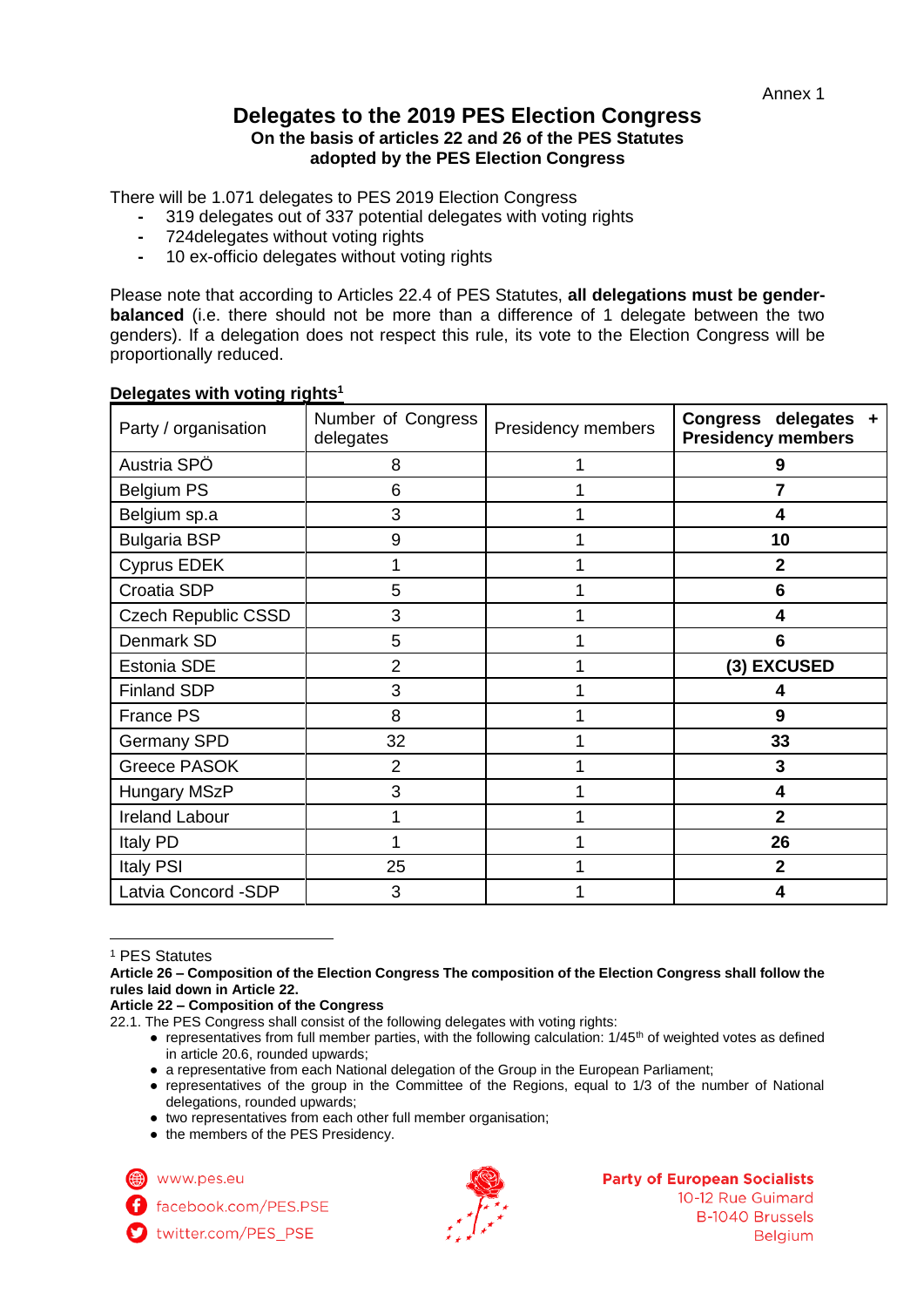# **Delegates to the 2019 PES Election Congress On the basis of articles 22 and 26 of the PES Statutes adopted by the PES Election Congress**

There will be 1.071 delegates to PES 2019 Election Congress

- **-** 319 delegates out of 337 potential delegates with voting rights
- **-** 724delegates without voting rights
- **-** 10 ex-officio delegates without voting rights

Please note that according to Articles 22.4 of PES Statutes, **all delegations must be genderbalanced** (i.e. there should not be more than a difference of 1 delegate between the two genders). If a delegation does not respect this rule, its vote to the Election Congress will be proportionally reduced.

| Party / organisation       | Number of Congress<br>delegates | Presidency members | Congress delegates +<br><b>Presidency members</b> |
|----------------------------|---------------------------------|--------------------|---------------------------------------------------|
| Austria SPÖ                | 8                               |                    | 9                                                 |
| <b>Belgium PS</b>          | 6                               |                    | 7                                                 |
| Belgium sp.a               | 3                               |                    | 4                                                 |
| <b>Bulgaria BSP</b>        | 9                               |                    | 10                                                |
| <b>Cyprus EDEK</b>         |                                 |                    | $\overline{2}$                                    |
| Croatia SDP                | 5                               |                    | 6                                                 |
| <b>Czech Republic CSSD</b> | 3                               |                    | 4                                                 |
| Denmark SD                 | 5                               |                    | 6                                                 |
| Estonia SDE                | $\overline{2}$                  |                    | (3) EXCUSED                                       |
| <b>Finland SDP</b>         | 3                               |                    | 4                                                 |
| France PS                  | 8                               |                    | 9                                                 |
| <b>Germany SPD</b>         | 32                              |                    | 33                                                |
| <b>Greece PASOK</b>        | $\overline{2}$                  |                    | 3                                                 |
| <b>Hungary MSzP</b>        | 3                               |                    | 4                                                 |
| <b>Ireland Labour</b>      |                                 |                    | $\mathbf{2}$                                      |
| Italy PD                   |                                 |                    | 26                                                |
| <b>Italy PSI</b>           | 25                              |                    | $\overline{2}$                                    |
| Latvia Concord -SDP        | 3                               |                    | 4                                                 |

### **Delegates with voting rights<sup>1</sup>**

<sup>1</sup> PES Statutes

 $\overline{a}$ 

**Article 26 – Composition of the Election Congress The composition of the Election Congress shall follow the rules laid down in Article 22.**

**Article 22 – Composition of the Congress**

- a representative from each National delegation of the Group in the European Parliament;
- representatives of the group in the Committee of the Regions, equal to 1/3 of the number of National delegations, rounded upwards;
- two representatives from each other full member organisation;
- the members of the PES Presidency.

www.pes.eu

facebook.com/PES.PSE





### **Party of European Socialists**

10-12 Rue Guimard **B-1040 Brussels Belgium** 

<sup>22.1.</sup> The PES Congress shall consist of the following delegates with voting rights:

 $\bullet$  representatives from full member parties, with the following calculation:  $1/45<sup>th</sup>$  of weighted votes as defined in article 20.6, rounded upwards;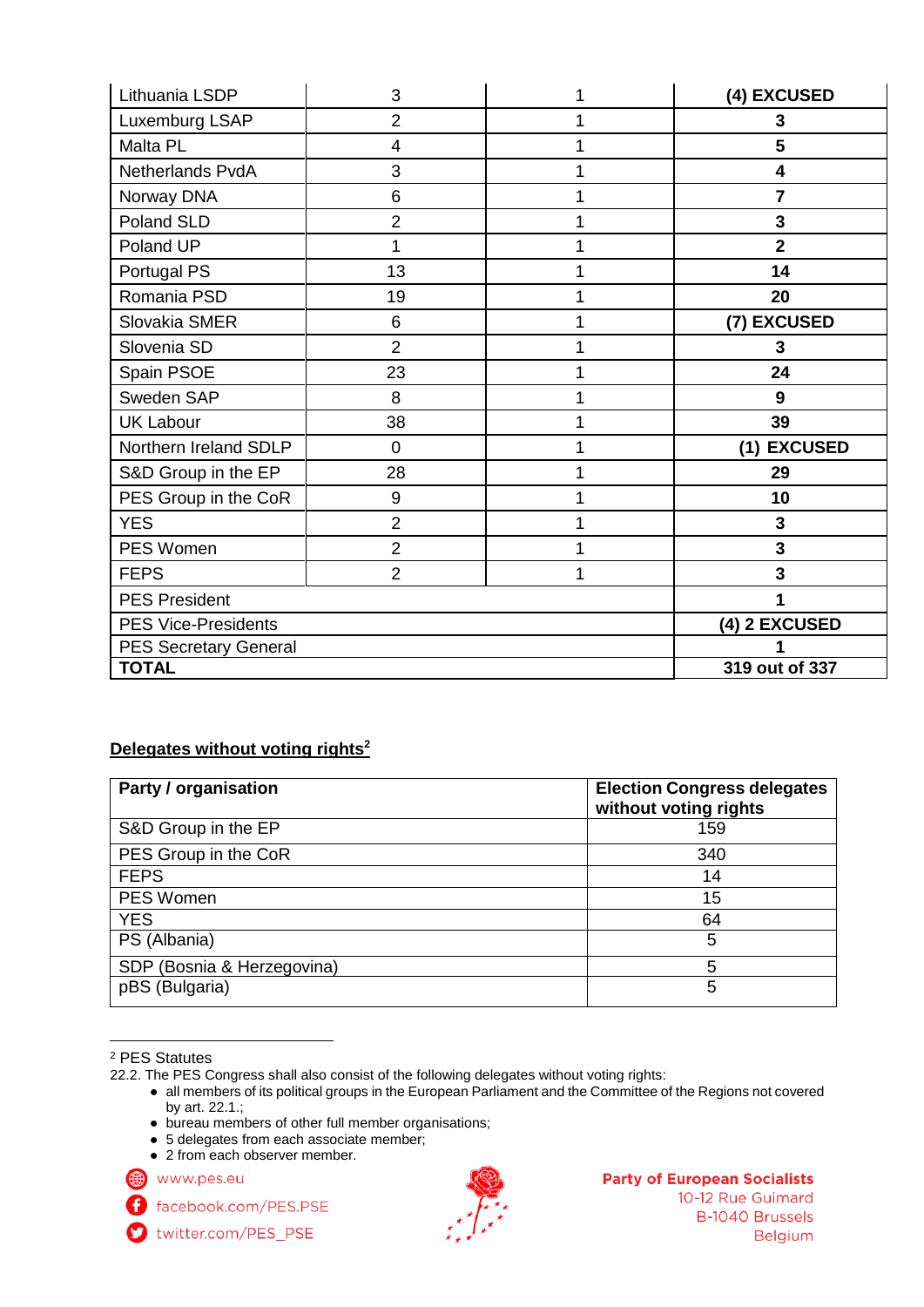| Lithuania LSDP               | 3              | 1             | (4) EXCUSED    |
|------------------------------|----------------|---------------|----------------|
| Luxemburg LSAP               | $\overline{2}$ | 1             | 3              |
| Malta PL                     | 4              | 1             | 5              |
| Netherlands PvdA             | 3              |               | 4              |
| Norway DNA                   | 6              |               | 7              |
| Poland SLD                   | $\overline{2}$ |               | 3              |
| Poland UP                    | 1              |               | $\overline{2}$ |
| Portugal PS                  | 13             |               | 14             |
| Romania PSD                  | 19             |               | 20             |
| Slovakia SMER                | 6              |               | (7) EXCUSED    |
| Slovenia SD                  | $\overline{2}$ | 1             | 3              |
| Spain PSOE                   | 23             |               | 24             |
| Sweden SAP                   | 8              |               | 9              |
| <b>UK Labour</b>             | 38             |               | 39             |
| Northern Ireland SDLP        | $\mathbf 0$    | 1             | (1) EXCUSED    |
| S&D Group in the EP          | 28             |               | 29             |
| PES Group in the CoR         | 9              | 1             | 10             |
| <b>YES</b>                   | $\overline{2}$ | 1             | $\mathbf{3}$   |
| PES Women                    | $\overline{2}$ |               | 3              |
| <b>FEPS</b>                  | $\overline{2}$ | 1             | 3              |
| <b>PES President</b>         |                | 1             |                |
| <b>PES Vice-Presidents</b>   |                | (4) 2 EXCUSED |                |
| <b>PES Secretary General</b> |                |               |                |
| <b>TOTAL</b>                 |                |               | 319 out of 337 |

# **Delegates without voting rights<sup>2</sup>**

| Party / organisation       | <b>Election Congress delegates</b><br>without voting rights |
|----------------------------|-------------------------------------------------------------|
| S&D Group in the EP        | 159                                                         |
| PES Group in the CoR       | 340                                                         |
| <b>FEPS</b>                | 14                                                          |
| <b>PES Women</b>           | 15                                                          |
| <b>YES</b>                 | 64                                                          |
| PS (Albania)               | 5                                                           |
| SDP (Bosnia & Herzegovina) | 5                                                           |
| pBS (Bulgaria)             | 5                                                           |

 $\overline{a}$ <sup>2</sup> PES Statutes

- bureau members of other full member organisations;
- 5 delegates from each associate member;
- 2 from each observer member.

www.pes.eu

- facebook.com/PES.PSE A twitter.com/PES\_PSE
- 

#### **Party of European Socialists**

10-12 Rue Guimard **B-1040 Brussels Belgium** 

<sup>22.2.</sup> The PES Congress shall also consist of the following delegates without voting rights:

<sup>●</sup> all members of its political groups in the European Parliament and the Committee of the Regions not covered by art. 22.1.;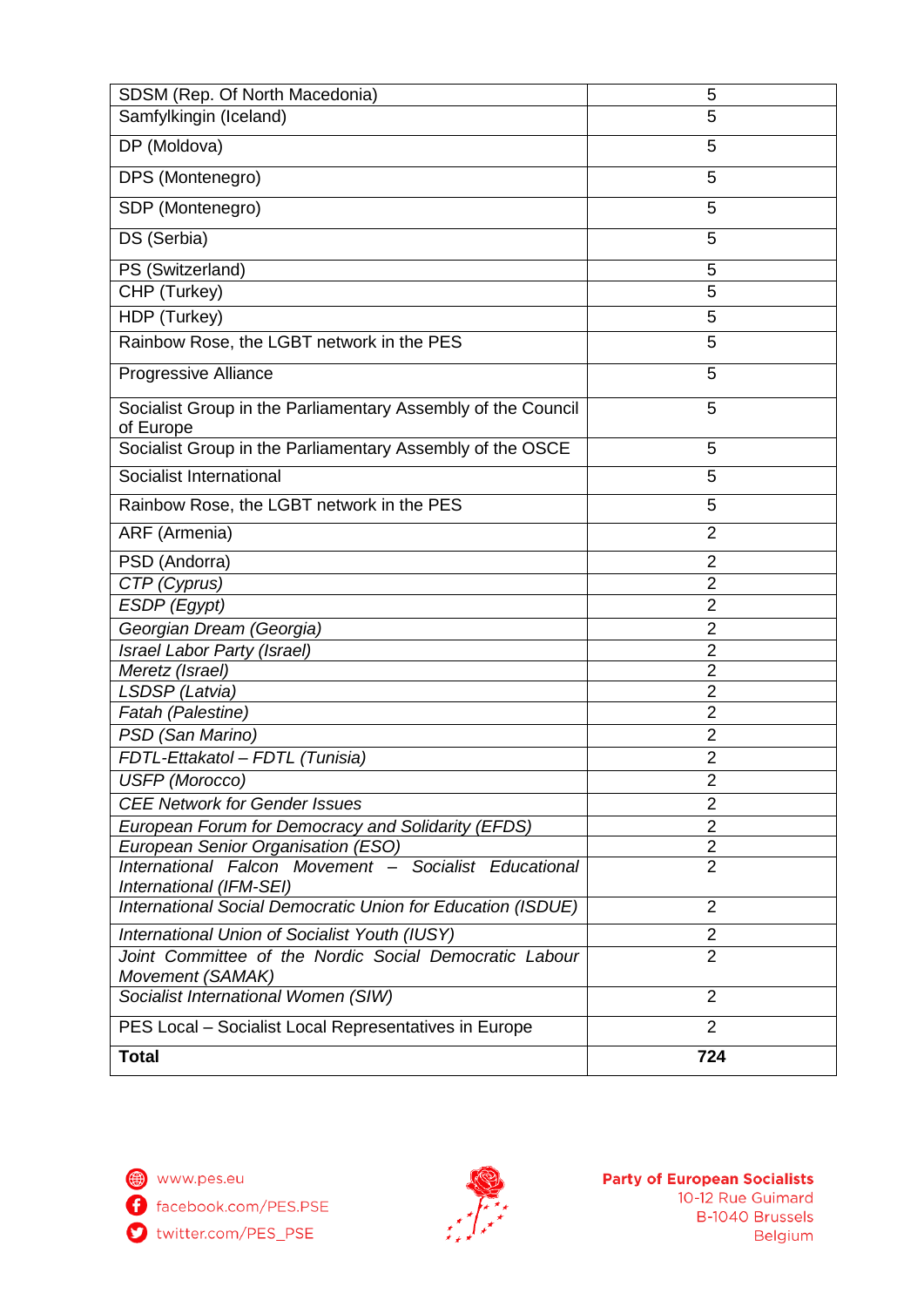| SDSM (Rep. Of North Macedonia)                                                   | 5              |
|----------------------------------------------------------------------------------|----------------|
| Samfylkingin (Iceland)                                                           | 5              |
| DP (Moldova)                                                                     | 5              |
| DPS (Montenegro)                                                                 | 5              |
| SDP (Montenegro)                                                                 | 5              |
| DS (Serbia)                                                                      | 5              |
| PS (Switzerland)                                                                 | 5              |
| CHP (Turkey)                                                                     | 5              |
| HDP (Turkey)                                                                     | 5              |
| Rainbow Rose, the LGBT network in the PES                                        | 5              |
| Progressive Alliance                                                             | 5              |
| Socialist Group in the Parliamentary Assembly of the Council<br>of Europe        | 5              |
| Socialist Group in the Parliamentary Assembly of the OSCE                        | 5              |
| Socialist International                                                          | 5              |
| Rainbow Rose, the LGBT network in the PES                                        | 5              |
| ARF (Armenia)                                                                    | $\overline{2}$ |
| PSD (Andorra)                                                                    | $\overline{2}$ |
| CTP (Cyprus)                                                                     | $\overline{2}$ |
| ESDP (Egypt)                                                                     | $\overline{2}$ |
| Georgian Dream (Georgia)                                                         | $\overline{2}$ |
| Israel Labor Party (Israel)                                                      | $\overline{2}$ |
| Meretz (Israel)                                                                  | $\overline{2}$ |
| LSDSP (Latvia)                                                                   | $\overline{2}$ |
| Fatah (Palestine)                                                                | $\overline{2}$ |
| PSD (San Marino)                                                                 | $\overline{2}$ |
| FDTL-Ettakatol - FDTL (Tunisia)                                                  | 2              |
| USFP (Morocco)                                                                   | $\overline{c}$ |
| <b>CEE Network for Gender Issues</b>                                             | $\overline{2}$ |
| European Forum for Democracy and Solidarity (EFDS)                               | $\overline{2}$ |
| European Senior Organisation (ESO)                                               | $\overline{2}$ |
| International Falcon Movement - Socialist Educational<br>International (IFM-SEI) | $\overline{2}$ |
| International Social Democratic Union for Education (ISDUE)                      | $\overline{2}$ |
| International Union of Socialist Youth (IUSY)                                    | $\overline{2}$ |
| Joint Committee of the Nordic Social Democratic Labour<br>Movement (SAMAK)       | $\overline{2}$ |
| Socialist International Women (SIW)                                              | $\overline{2}$ |
| PES Local - Socialist Local Representatives in Europe                            | $\overline{2}$ |
| <b>Total</b>                                                                     | 724            |

facebook.com/PES.PSE

twitter.com/PES\_PSE

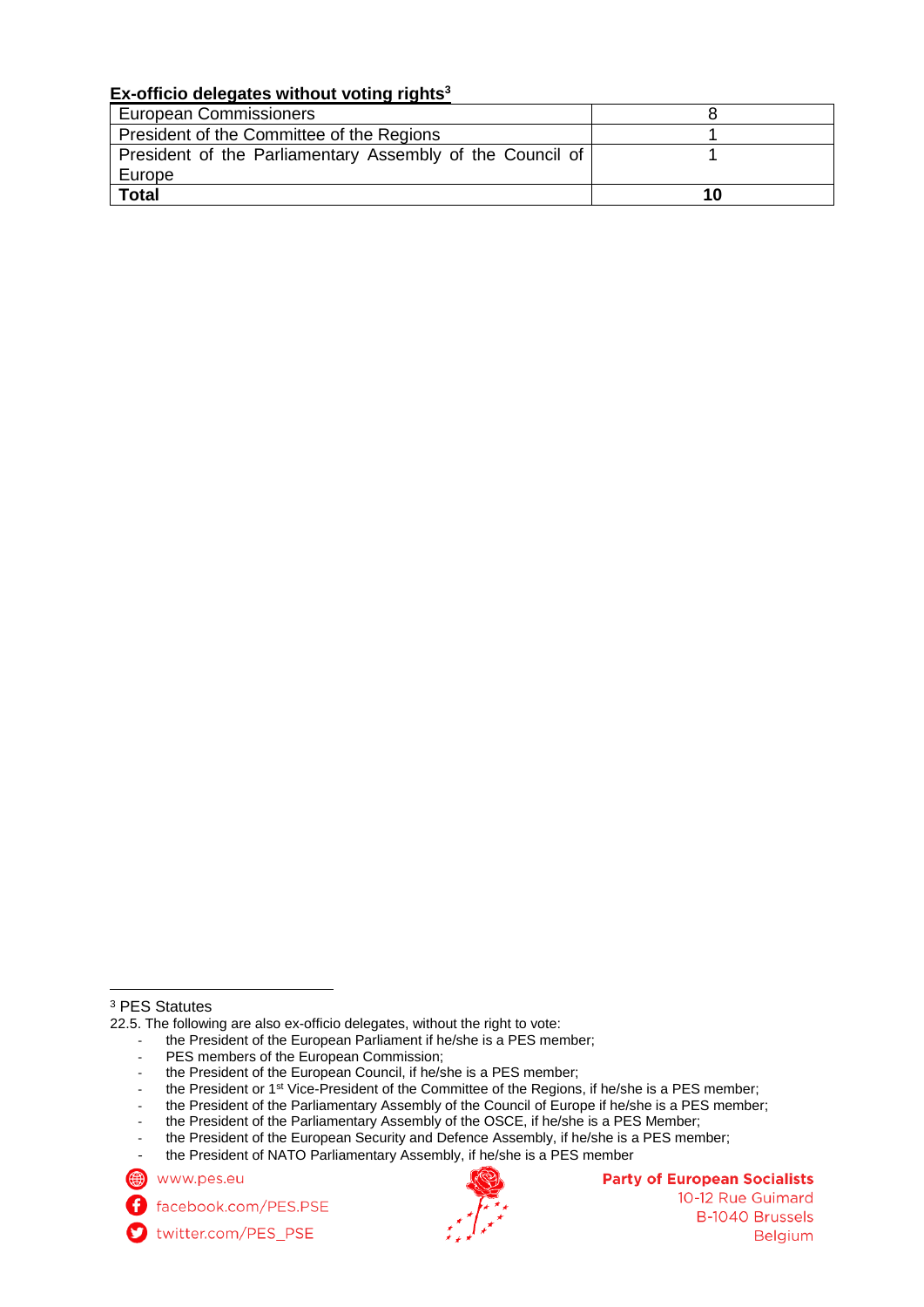# **Ex-officio delegates without voting rights<sup>3</sup>**

| European Commissioners                                    |    |
|-----------------------------------------------------------|----|
| President of the Committee of the Regions                 |    |
| President of the Parliamentary Assembly of the Council of |    |
| Europe                                                    |    |
| <b>Total</b>                                              | 10 |

 $\overline{a}$ 

- the President of the European Parliament if he/she is a PES member;
- PES members of the European Commission;
- the President of the European Council, if he/she is a PES member;
- the President or 1<sup>st</sup> Vice-President of the Committee of the Regions, if he/she is a PES member;
- the President of the Parliamentary Assembly of the Council of Europe if he/she is a PES member;
- the President of the Parliamentary Assembly of the OSCE, if he/she is a PES Member;

the President of NATO Parliamentary Assembly, if he/she is a PES member

www.pes.eu

twitter.com/PES\_PSE



# **Party of European Socialists**

10-12 Rue Guimard **B-1040 Brussels Belgium** 

<sup>3</sup> PES Statutes

<sup>22.5.</sup> The following are also ex-officio delegates, without the right to vote:

the President of the European Security and Defence Assembly, if he/she is a PES member;

facebook.com/PES.PSE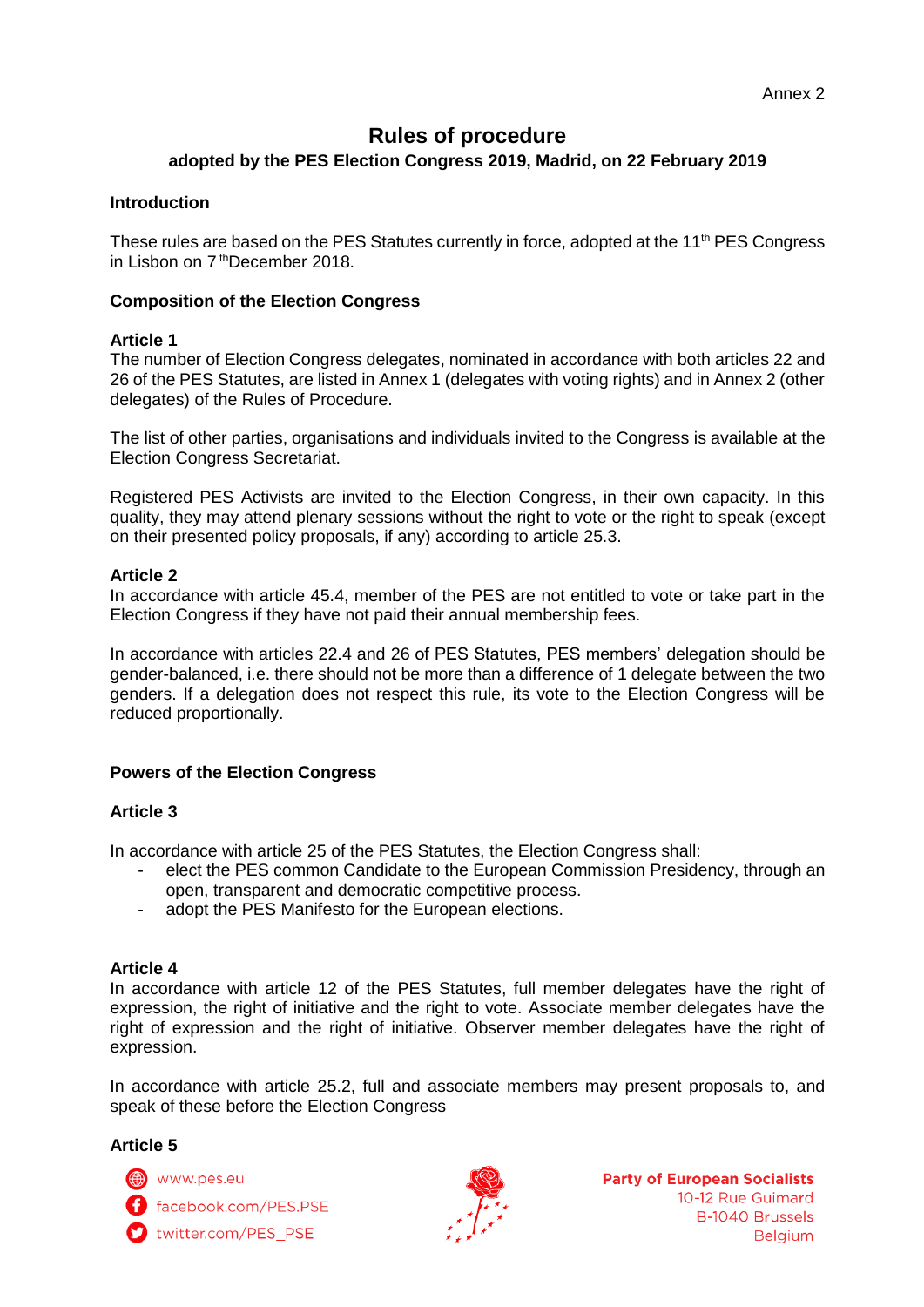# **Rules of procedure adopted by the PES Election Congress 2019, Madrid, on 22 February 2019**

### **Introduction**

These rules are based on the PES Statutes currently in force, adopted at the 11<sup>th</sup> PES Congress in Lisbon on 7<sup>th</sup>December 2018.

### **Composition of the Election Congress**

### **Article 1**

The number of Election Congress delegates, nominated in accordance with both articles 22 and 26 of the PES Statutes, are listed in Annex 1 (delegates with voting rights) and in Annex 2 (other delegates) of the Rules of Procedure.

The list of other parties, organisations and individuals invited to the Congress is available at the Election Congress Secretariat.

Registered PES Activists are invited to the Election Congress, in their own capacity. In this quality, they may attend plenary sessions without the right to vote or the right to speak (except on their presented policy proposals, if any) according to article 25.3.

### **Article 2**

In accordance with article 45.4, member of the PES are not entitled to vote or take part in the Election Congress if they have not paid their annual membership fees.

In accordance with articles 22.4 and 26 of PES Statutes, PES members' delegation should be gender-balanced, i.e. there should not be more than a difference of 1 delegate between the two genders. If a delegation does not respect this rule, its vote to the Election Congress will be reduced proportionally.

# **Powers of the Election Congress**

### **Article 3**

In accordance with article 25 of the PES Statutes, the Election Congress shall:

- elect the PES common Candidate to the European Commission Presidency, through an open, transparent and democratic competitive process.
- adopt the PES Manifesto for the European elections.

### **Article 4**

In accordance with article 12 of the PES Statutes, full member delegates have the right of expression, the right of initiative and the right to vote. Associate member delegates have the right of expression and the right of initiative. Observer member delegates have the right of expression.

In accordance with article 25.2, full and associate members may present proposals to, and speak of these before the Election Congress

### **Article 5**



facebook.com/PES.PSE

twitter.com/PES PSE

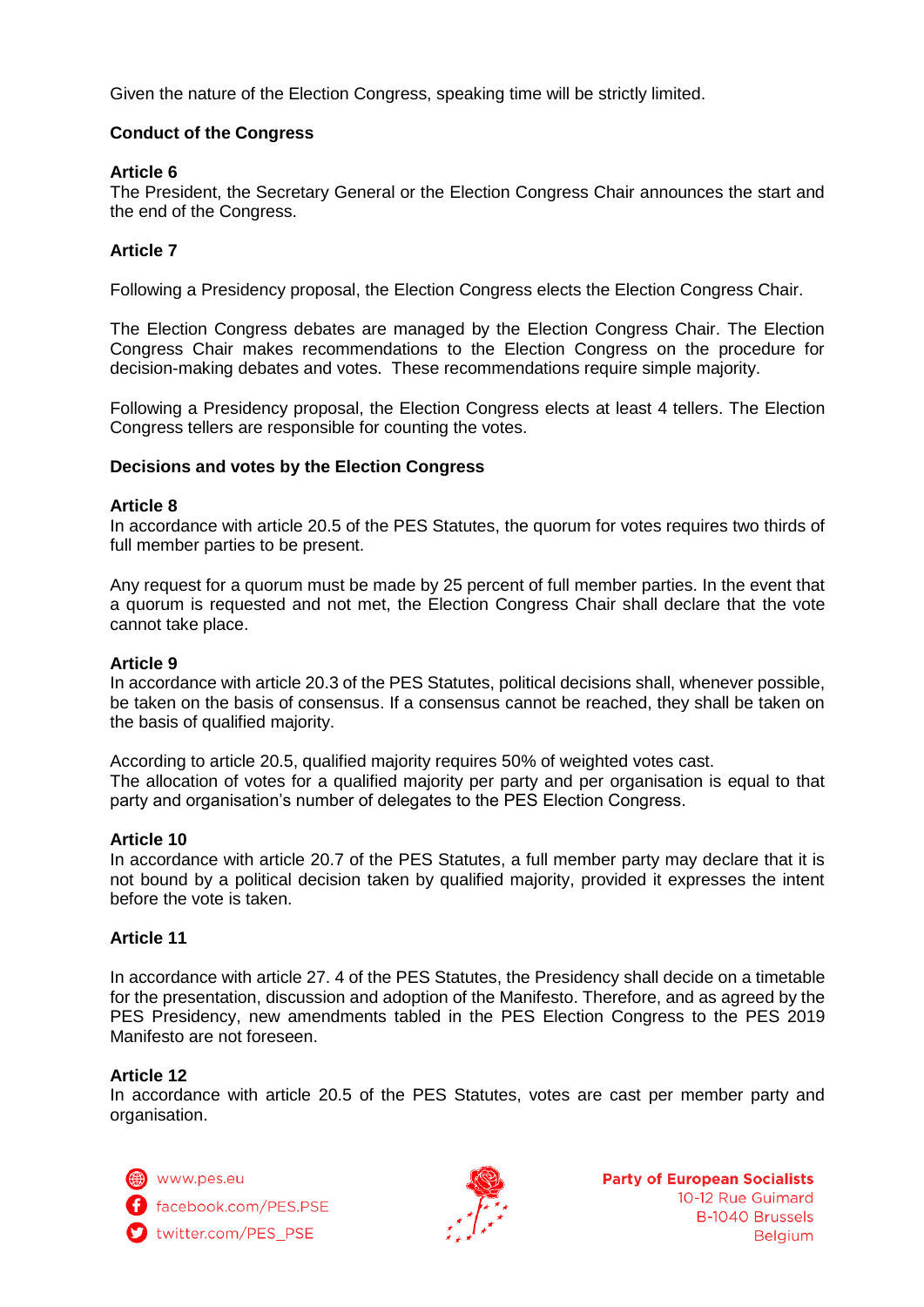Given the nature of the Election Congress, speaking time will be strictly limited.

# **Conduct of the Congress**

# **Article 6**

The President, the Secretary General or the Election Congress Chair announces the start and the end of the Congress.

# **Article 7**

Following a Presidency proposal, the Election Congress elects the Election Congress Chair.

The Election Congress debates are managed by the Election Congress Chair. The Election Congress Chair makes recommendations to the Election Congress on the procedure for decision-making debates and votes. These recommendations require simple majority.

Following a Presidency proposal, the Election Congress elects at least 4 tellers. The Election Congress tellers are responsible for counting the votes.

# **Decisions and votes by the Election Congress**

### **Article 8**

In accordance with article 20.5 of the PES Statutes, the quorum for votes requires two thirds of full member parties to be present.

Any request for a quorum must be made by 25 percent of full member parties. In the event that a quorum is requested and not met, the Election Congress Chair shall declare that the vote cannot take place.

### **Article 9**

In accordance with article 20.3 of the PES Statutes, political decisions shall, whenever possible, be taken on the basis of consensus. If a consensus cannot be reached, they shall be taken on the basis of qualified majority.

According to article 20.5, qualified majority requires 50% of weighted votes cast. The allocation of votes for a qualified majority per party and per organisation is equal to that party and organisation's number of delegates to the PES Election Congress.

### **Article 10**

In accordance with article 20.7 of the PES Statutes, a full member party may declare that it is not bound by a political decision taken by qualified majority, provided it expresses the intent before the vote is taken.

# **Article 11**

In accordance with article 27. 4 of the PES Statutes, the Presidency shall decide on a timetable for the presentation, discussion and adoption of the Manifesto. Therefore, and as agreed by the PES Presidency, new amendments tabled in the PES Election Congress to the PES 2019 Manifesto are not foreseen.

### **Article 12**

In accordance with article 20.5 of the PES Statutes, votes are cast per member party and organisation.

www.pes.eu f facebook.com/PES.PSE twitter.com/PES\_PSE

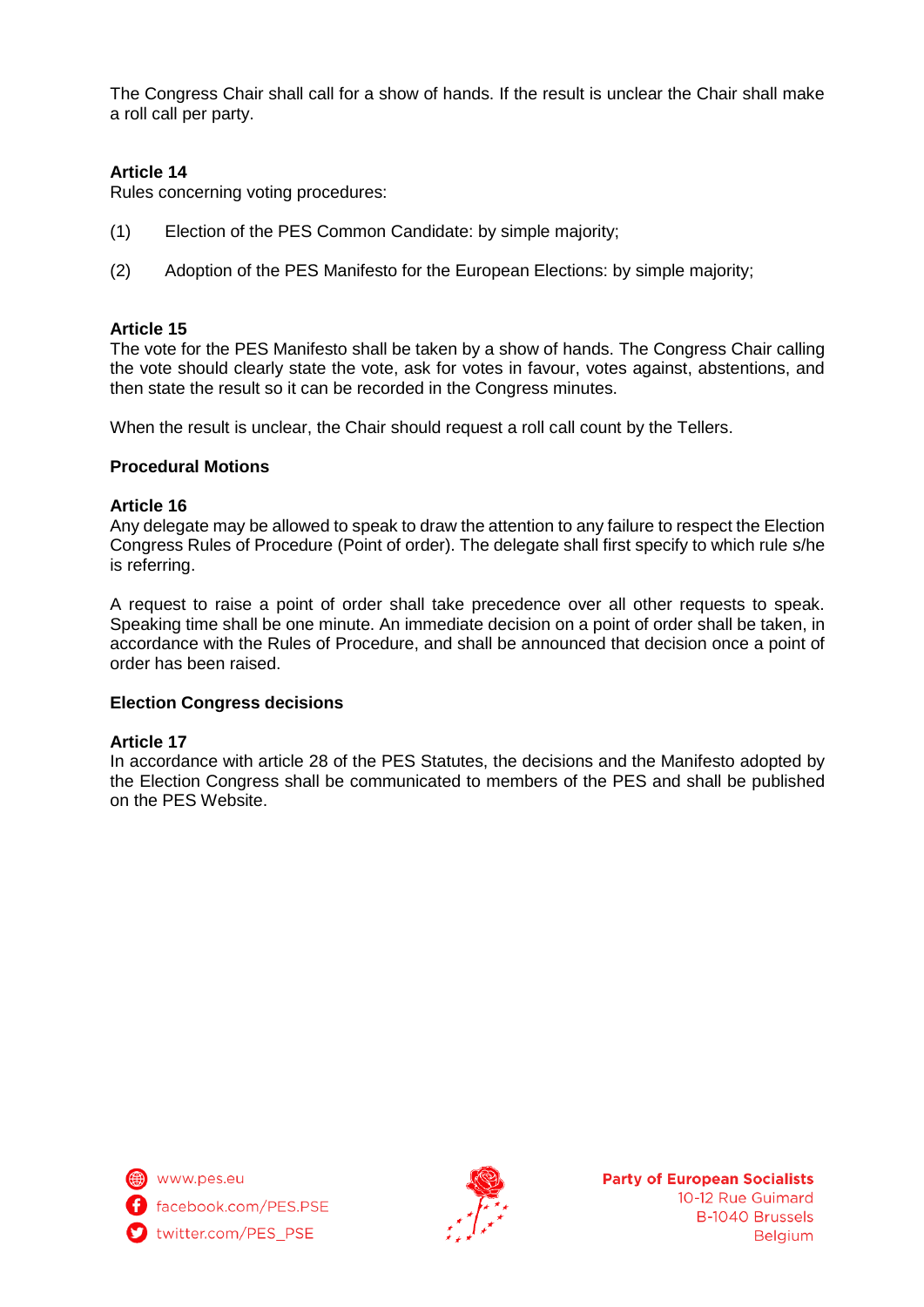The Congress Chair shall call for a show of hands. If the result is unclear the Chair shall make a roll call per party.

# **Article 14**

Rules concerning voting procedures:

- (1) Election of the PES Common Candidate: by simple majority;
- (2) Adoption of the PES Manifesto for the European Elections: by simple majority;

# **Article 15**

The vote for the PES Manifesto shall be taken by a show of hands. The Congress Chair calling the vote should clearly state the vote, ask for votes in favour, votes against, abstentions, and then state the result so it can be recorded in the Congress minutes.

When the result is unclear, the Chair should request a roll call count by the Tellers.

# **Procedural Motions**

# **Article 16**

Any delegate may be allowed to speak to draw the attention to any failure to respect the Election Congress Rules of Procedure (Point of order). The delegate shall first specify to which rule s/he is referring.

A request to raise a point of order shall take precedence over all other requests to speak. Speaking time shall be one minute. An immediate decision on a point of order shall be taken, in accordance with the Rules of Procedure, and shall be announced that decision once a point of order has been raised.

### **Election Congress decisions**

### **Article 17**

In accordance with article 28 of the PES Statutes, the decisions and the Manifesto adopted by the Election Congress shall be communicated to members of the PES and shall be published on the PES Website.



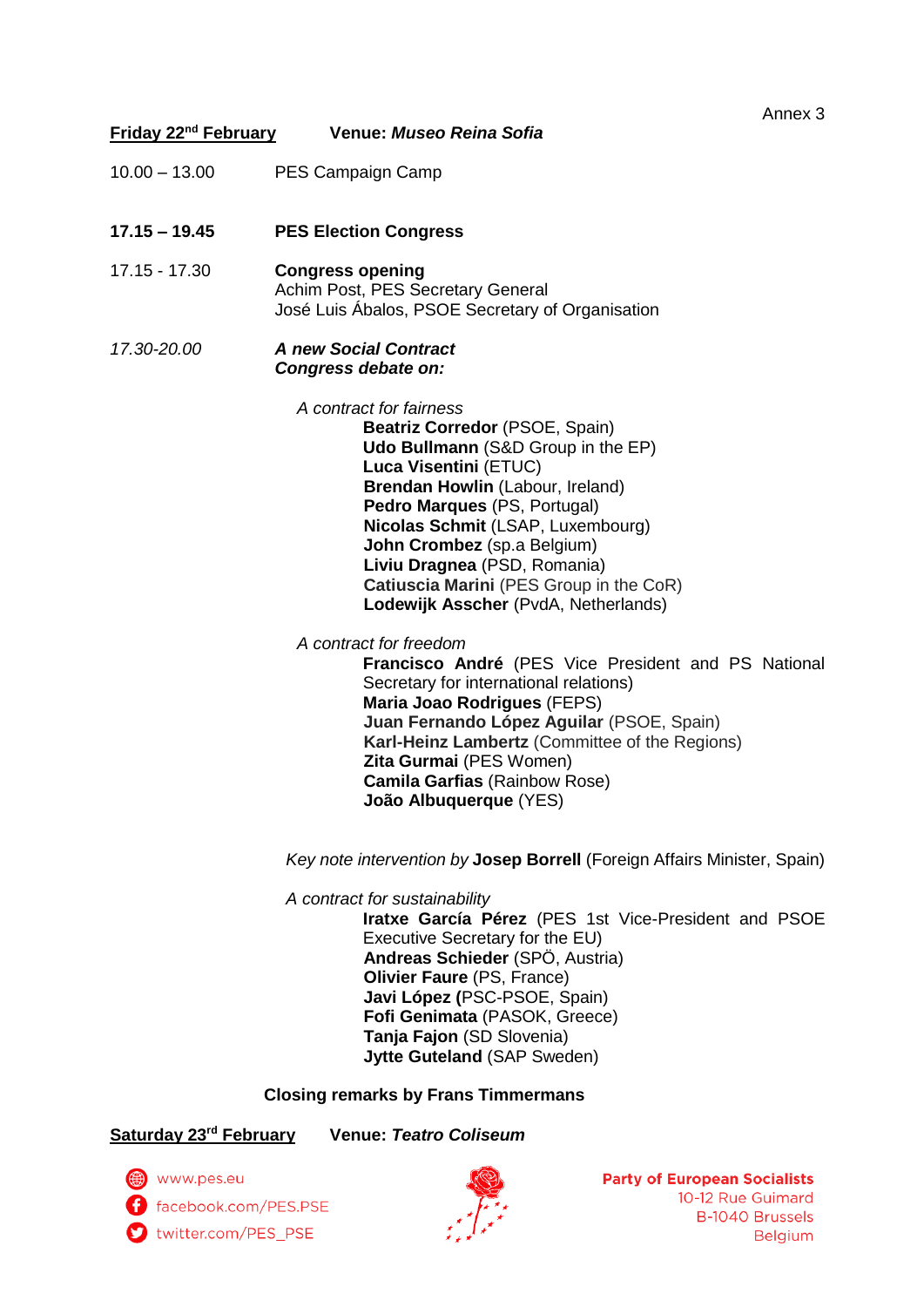| Friday 22 <sup>nd</sup> February | Venue: Museo Reina Sofia                                                                                                                                                                                                                                                                                                                                                                   | Annex 3 |
|----------------------------------|--------------------------------------------------------------------------------------------------------------------------------------------------------------------------------------------------------------------------------------------------------------------------------------------------------------------------------------------------------------------------------------------|---------|
|                                  |                                                                                                                                                                                                                                                                                                                                                                                            |         |
| $10.00 - 13.00$                  | PES Campaign Camp                                                                                                                                                                                                                                                                                                                                                                          |         |
| $17.15 - 19.45$                  | <b>PES Election Congress</b>                                                                                                                                                                                                                                                                                                                                                               |         |
| 17.15 - 17.30                    | <b>Congress opening</b><br>Achim Post, PES Secretary General<br>José Luis Abalos, PSOE Secretary of Organisation                                                                                                                                                                                                                                                                           |         |
| 17.30-20.00                      | <b>A new Social Contract</b><br>Congress debate on:                                                                                                                                                                                                                                                                                                                                        |         |
|                                  | A contract for fairness<br>Beatriz Corredor (PSOE, Spain)<br><b>Udo Bullmann</b> (S&D Group in the EP)<br>Luca Visentini (ETUC)<br>Brendan Howlin (Labour, Ireland)<br>Pedro Marques (PS, Portugal)<br>Nicolas Schmit (LSAP, Luxembourg)<br>John Crombez (sp.a Belgium)<br>Liviu Dragnea (PSD, Romania)<br>Catiuscia Marini (PES Group in the CoR)<br>Lodewijk Asscher (PvdA, Netherlands) |         |
|                                  | A contract for freedom<br>Francisco André (PES Vice President and PS National<br>Secretary for international relations)<br><b>Maria Joao Rodrigues (FEPS)</b><br>Juan Fernando López Aguilar (PSOE, Spain)<br>Karl-Heinz Lambertz (Committee of the Regions)<br>Zita Gurmai (PES Women)<br><b>Camila Garfias (Rainbow Rose)</b><br>João Albuquerque (YES)                                  |         |
|                                  | Key note intervention by Josep Borrell (Foreign Affairs Minister, Spain)                                                                                                                                                                                                                                                                                                                   |         |
|                                  | A contract for sustainability<br>Iratxe García Pérez (PES 1st Vice-President and PSOE<br>Executive Secretary for the EU)<br>Andreas Schieder (SPÖ, Austria)                                                                                                                                                                                                                                |         |

**Andreas Schieder** (SPÖ, Austria) **Olivier Faure** (PS, France) **Javi López (**PSC-PSOE, Spain) **Fofi Genimata** (PASOK, Greece) **Tanja Fajon** (SD Slovenia) **Jytte Guteland** (SAP Sweden)

**Closing remarks by Frans Timmermans**

**Saturday 23rd February Venue:** *Teatro Coliseum*

www.pes.eu<br>
f facebook.com/PES.PSE twitter.com/PES\_PSE

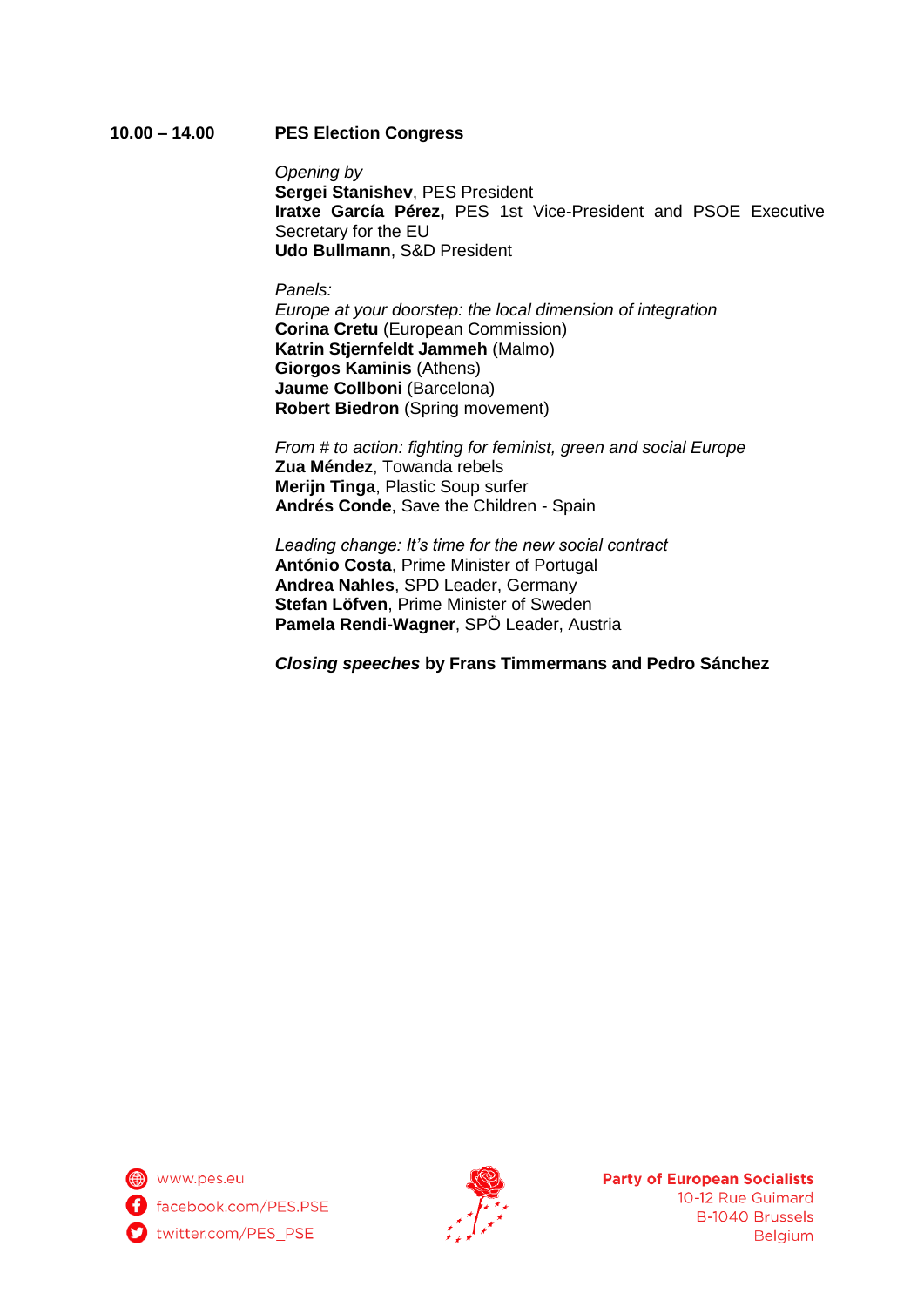# **10.00 – 14.00 PES Election Congress**

*Opening by* **Sergei Stanishev**, PES President **Iratxe García Pérez,** PES 1st Vice-President and PSOE Executive Secretary for the EU **Udo Bullmann**, S&D President

### *Panels:*

*Europe at your doorstep: the local dimension of integration* **Corina Cretu** (European Commission) **Katrin Stjernfeldt Jammeh** (Malmo) **Giorgos Kaminis** (Athens) **Jaume Collboni** (Barcelona) **Robert Biedron** (Spring movement)

*From # to action: fighting for feminist, green and social Europe* **Zua Méndez**, Towanda rebels **Merijn Tinga**, Plastic Soup surfer **Andrés Conde**, Save the Children - Spain

*Leading change: It's time for the new social contract* **António Costa**, Prime Minister of Portugal **Andrea Nahles**, SPD Leader, Germany **Stefan Löfven**, Prime Minister of Sweden **Pamela Rendi-Wagner**, SPÖ Leader, Austria

*Closing speeches* **by Frans Timmermans and Pedro Sánchez**

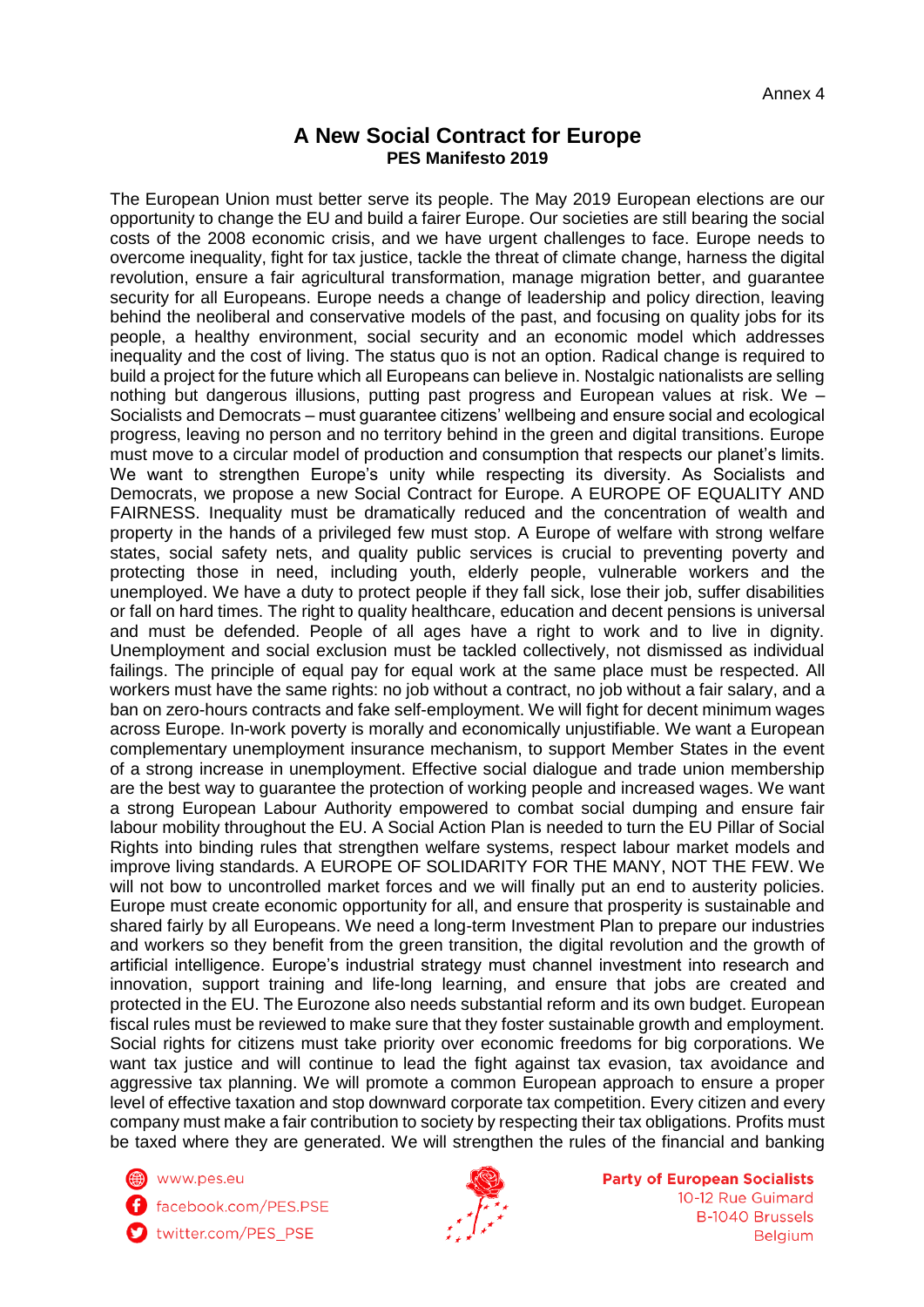# **A New Social Contract for Europe PES Manifesto 2019**

The European Union must better serve its people. The May 2019 European elections are our opportunity to change the EU and build a fairer Europe. Our societies are still bearing the social costs of the 2008 economic crisis, and we have urgent challenges to face. Europe needs to overcome inequality, fight for tax justice, tackle the threat of climate change, harness the digital revolution, ensure a fair agricultural transformation, manage migration better, and guarantee security for all Europeans. Europe needs a change of leadership and policy direction, leaving behind the neoliberal and conservative models of the past, and focusing on quality jobs for its people, a healthy environment, social security and an economic model which addresses inequality and the cost of living. The status quo is not an option. Radical change is required to build a project for the future which all Europeans can believe in. Nostalgic nationalists are selling nothing but dangerous illusions, putting past progress and European values at risk. We – Socialists and Democrats – must guarantee citizens' wellbeing and ensure social and ecological progress, leaving no person and no territory behind in the green and digital transitions. Europe must move to a circular model of production and consumption that respects our planet's limits. We want to strengthen Europe's unity while respecting its diversity. As Socialists and Democrats, we propose a new Social Contract for Europe. A EUROPE OF EQUALITY AND FAIRNESS. Inequality must be dramatically reduced and the concentration of wealth and property in the hands of a privileged few must stop. A Europe of welfare with strong welfare states, social safety nets, and quality public services is crucial to preventing poverty and protecting those in need, including youth, elderly people, vulnerable workers and the unemployed. We have a duty to protect people if they fall sick, lose their job, suffer disabilities or fall on hard times. The right to quality healthcare, education and decent pensions is universal and must be defended. People of all ages have a right to work and to live in dignity. Unemployment and social exclusion must be tackled collectively, not dismissed as individual failings. The principle of equal pay for equal work at the same place must be respected. All workers must have the same rights: no job without a contract, no job without a fair salary, and a ban on zero-hours contracts and fake self-employment. We will fight for decent minimum wages across Europe. In-work poverty is morally and economically unjustifiable. We want a European complementary unemployment insurance mechanism, to support Member States in the event of a strong increase in unemployment. Effective social dialogue and trade union membership are the best way to guarantee the protection of working people and increased wages. We want a strong European Labour Authority empowered to combat social dumping and ensure fair labour mobility throughout the EU. A Social Action Plan is needed to turn the EU Pillar of Social Rights into binding rules that strengthen welfare systems, respect labour market models and improve living standards. A EUROPE OF SOLIDARITY FOR THE MANY, NOT THE FEW. We will not bow to uncontrolled market forces and we will finally put an end to austerity policies. Europe must create economic opportunity for all, and ensure that prosperity is sustainable and shared fairly by all Europeans. We need a long-term Investment Plan to prepare our industries and workers so they benefit from the green transition, the digital revolution and the growth of artificial intelligence. Europe's industrial strategy must channel investment into research and innovation, support training and life-long learning, and ensure that jobs are created and protected in the EU. The Eurozone also needs substantial reform and its own budget. European fiscal rules must be reviewed to make sure that they foster sustainable growth and employment. Social rights for citizens must take priority over economic freedoms for big corporations. We want tax justice and will continue to lead the fight against tax evasion, tax avoidance and aggressive tax planning. We will promote a common European approach to ensure a proper level of effective taxation and stop downward corporate tax competition. Every citizen and every company must make a fair contribution to society by respecting their tax obligations. Profits must be taxed where they are generated. We will strengthen the rules of the financial and banking

www.pes.eu

facebook.com/PES.PSE

twitter.com/PES\_PSE

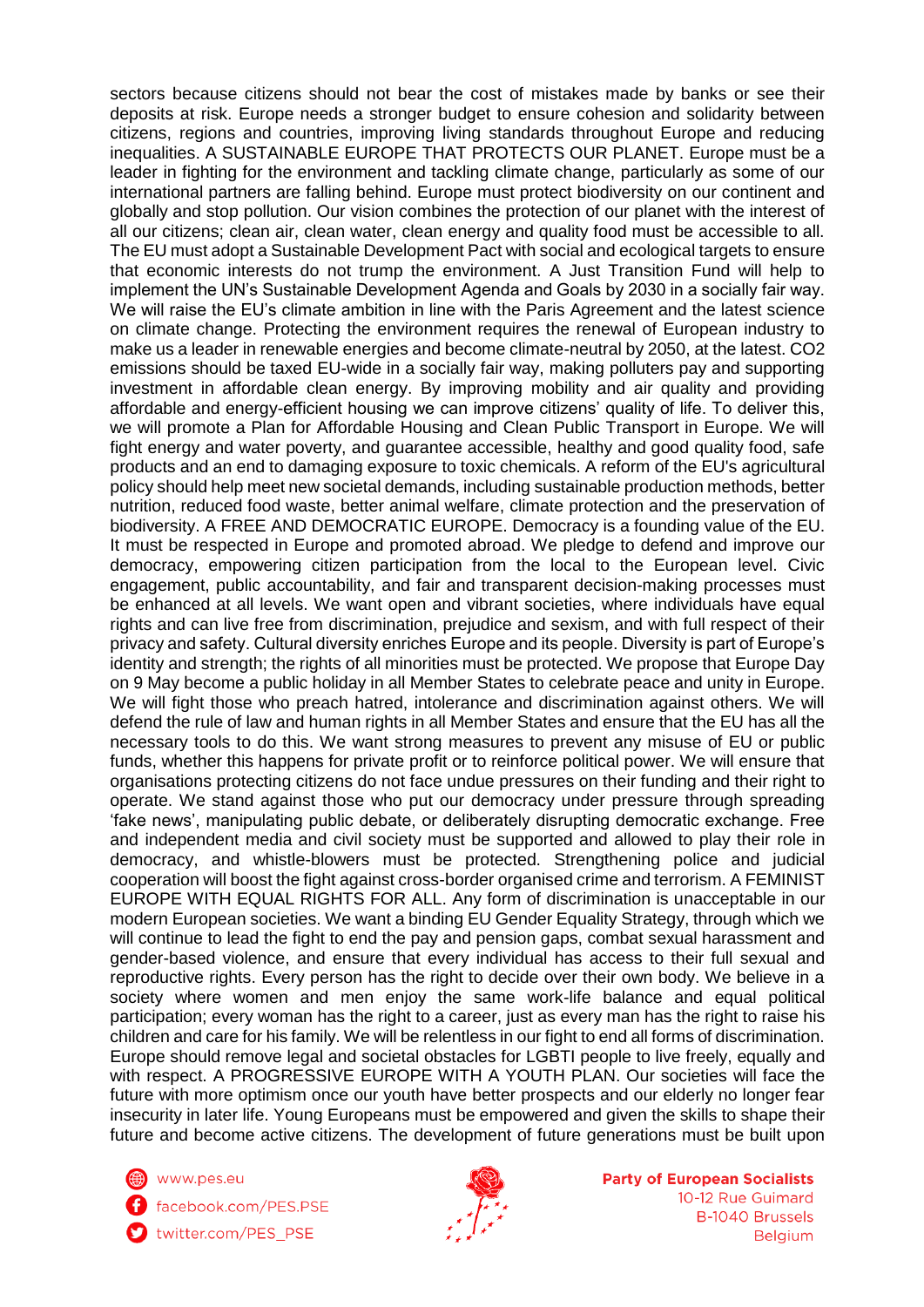sectors because citizens should not bear the cost of mistakes made by banks or see their deposits at risk. Europe needs a stronger budget to ensure cohesion and solidarity between citizens, regions and countries, improving living standards throughout Europe and reducing inequalities. A SUSTAINABLE EUROPE THAT PROTECTS OUR PLANET. Europe must be a leader in fighting for the environment and tackling climate change, particularly as some of our international partners are falling behind. Europe must protect biodiversity on our continent and globally and stop pollution. Our vision combines the protection of our planet with the interest of all our citizens; clean air, clean water, clean energy and quality food must be accessible to all. The EU must adopt a Sustainable Development Pact with social and ecological targets to ensure that economic interests do not trump the environment. A Just Transition Fund will help to implement the UN's Sustainable Development Agenda and Goals by 2030 in a socially fair way. We will raise the EU's climate ambition in line with the Paris Agreement and the latest science on climate change. Protecting the environment requires the renewal of European industry to make us a leader in renewable energies and become climate-neutral by 2050, at the latest. CO2 emissions should be taxed EU-wide in a socially fair way, making polluters pay and supporting investment in affordable clean energy. By improving mobility and air quality and providing affordable and energy-efficient housing we can improve citizens' quality of life. To deliver this, we will promote a Plan for Affordable Housing and Clean Public Transport in Europe. We will fight energy and water poverty, and guarantee accessible, healthy and good quality food, safe products and an end to damaging exposure to toxic chemicals. A reform of the EU's agricultural policy should help meet new societal demands, including sustainable production methods, better nutrition, reduced food waste, better animal welfare, climate protection and the preservation of biodiversity. A FREE AND DEMOCRATIC EUROPE. Democracy is a founding value of the EU. It must be respected in Europe and promoted abroad. We pledge to defend and improve our democracy, empowering citizen participation from the local to the European level. Civic engagement, public accountability, and fair and transparent decision-making processes must be enhanced at all levels. We want open and vibrant societies, where individuals have equal rights and can live free from discrimination, prejudice and sexism, and with full respect of their privacy and safety. Cultural diversity enriches Europe and its people. Diversity is part of Europe's identity and strength; the rights of all minorities must be protected. We propose that Europe Day on 9 May become a public holiday in all Member States to celebrate peace and unity in Europe. We will fight those who preach hatred, intolerance and discrimination against others. We will defend the rule of law and human rights in all Member States and ensure that the EU has all the necessary tools to do this. We want strong measures to prevent any misuse of EU or public funds, whether this happens for private profit or to reinforce political power. We will ensure that organisations protecting citizens do not face undue pressures on their funding and their right to operate. We stand against those who put our democracy under pressure through spreading 'fake news', manipulating public debate, or deliberately disrupting democratic exchange. Free and independent media and civil society must be supported and allowed to play their role in democracy, and whistle-blowers must be protected. Strengthening police and judicial cooperation will boost the fight against cross-border organised crime and terrorism. A FEMINIST EUROPE WITH EQUAL RIGHTS FOR ALL. Any form of discrimination is unacceptable in our modern European societies. We want a binding EU Gender Equality Strategy, through which we will continue to lead the fight to end the pay and pension gaps, combat sexual harassment and gender-based violence, and ensure that every individual has access to their full sexual and reproductive rights. Every person has the right to decide over their own body. We believe in a society where women and men enjoy the same work-life balance and equal political participation; every woman has the right to a career, just as every man has the right to raise his children and care for his family. We will be relentless in our fight to end all forms of discrimination. Europe should remove legal and societal obstacles for LGBTI people to live freely, equally and with respect. A PROGRESSIVE EUROPE WITH A YOUTH PLAN. Our societies will face the future with more optimism once our youth have better prospects and our elderly no longer fear insecurity in later life. Young Europeans must be empowered and given the skills to shape their future and become active citizens. The development of future generations must be built upon

www.pes.eu facebook.com/PES.PSE

twitter.com/PES\_PSE